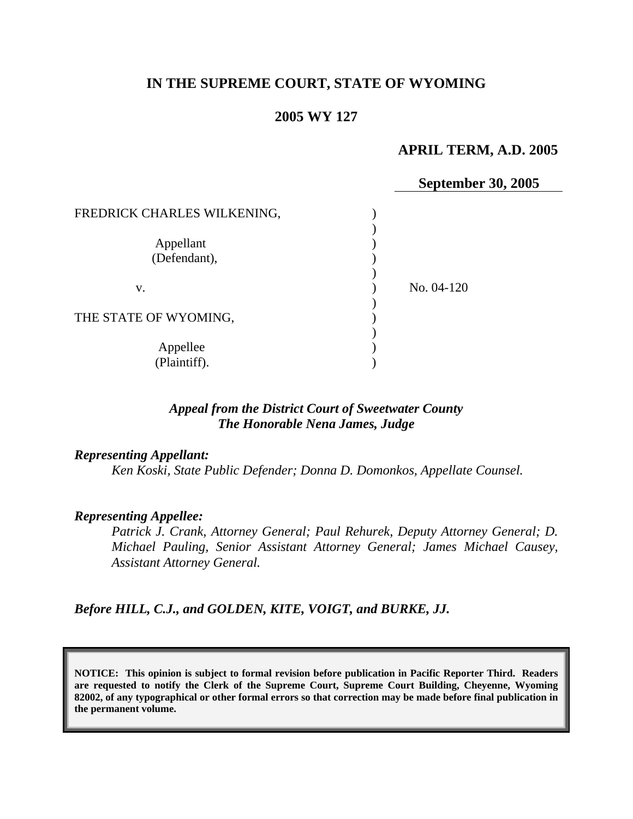# **IN THE SUPREME COURT, STATE OF WYOMING**

#### **2005 WY 127**

## **APRIL TERM, A.D. 2005**

**September 30, 2005** 

| FREDRICK CHARLES WILKENING, |            |
|-----------------------------|------------|
| Appellant                   |            |
| (Defendant),                |            |
| V.                          | No. 04-120 |
| THE STATE OF WYOMING,       |            |
| Appellee<br>(Plaintiff).    |            |
|                             |            |

### *Appeal from the District Court of Sweetwater County The Honorable Nena James, Judge*

#### *Representing Appellant:*

*Ken Koski, State Public Defender; Donna D. Domonkos, Appellate Counsel.* 

#### *Representing Appellee:*

*Patrick J. Crank, Attorney General; Paul Rehurek, Deputy Attorney General; D. Michael Pauling, Senior Assistant Attorney General; James Michael Causey, Assistant Attorney General.* 

*Before HILL, C.J., and GOLDEN, KITE, VOIGT, and BURKE, JJ.* 

**NOTICE: This opinion is subject to formal revision before publication in Pacific Reporter Third. Readers are requested to notify the Clerk of the Supreme Court, Supreme Court Building, Cheyenne, Wyoming 82002, of any typographical or other formal errors so that correction may be made before final publication in the permanent volume.**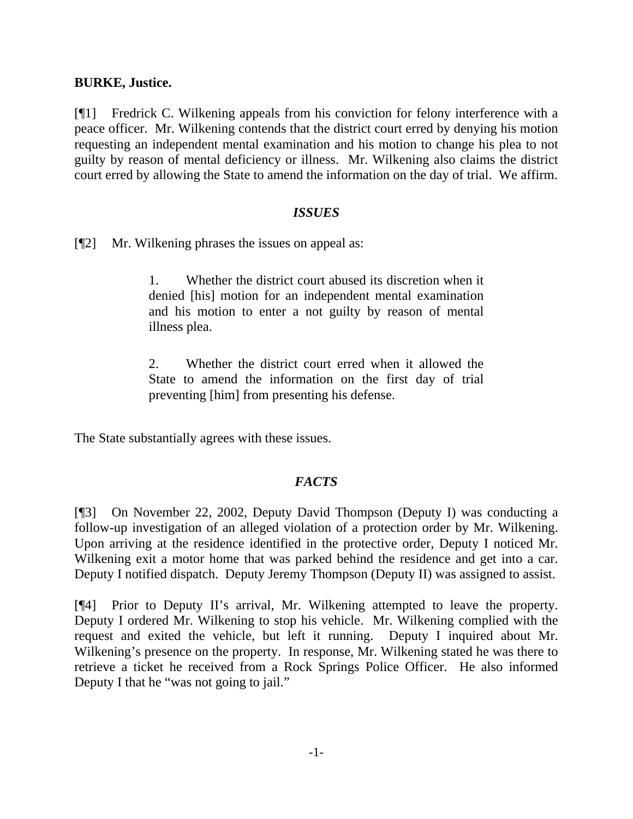### **BURKE, Justice.**

[¶1] Fredrick C. Wilkening appeals from his conviction for felony interference with a peace officer. Mr. Wilkening contends that the district court erred by denying his motion requesting an independent mental examination and his motion to change his plea to not guilty by reason of mental deficiency or illness. Mr. Wilkening also claims the district court erred by allowing the State to amend the information on the day of trial. We affirm.

### *ISSUES*

[¶2] Mr. Wilkening phrases the issues on appeal as:

1. Whether the district court abused its discretion when it denied [his] motion for an independent mental examination and his motion to enter a not guilty by reason of mental illness plea.

2. Whether the district court erred when it allowed the State to amend the information on the first day of trial preventing [him] from presenting his defense.

The State substantially agrees with these issues.

## *FACTS*

[¶3] On November 22, 2002, Deputy David Thompson (Deputy I) was conducting a follow-up investigation of an alleged violation of a protection order by Mr. Wilkening. Upon arriving at the residence identified in the protective order, Deputy I noticed Mr. Wilkening exit a motor home that was parked behind the residence and get into a car. Deputy I notified dispatch. Deputy Jeremy Thompson (Deputy II) was assigned to assist.

[¶4] Prior to Deputy II's arrival, Mr. Wilkening attempted to leave the property. Deputy I ordered Mr. Wilkening to stop his vehicle. Mr. Wilkening complied with the request and exited the vehicle, but left it running. Deputy I inquired about Mr. Wilkening's presence on the property. In response, Mr. Wilkening stated he was there to retrieve a ticket he received from a Rock Springs Police Officer. He also informed Deputy I that he "was not going to jail."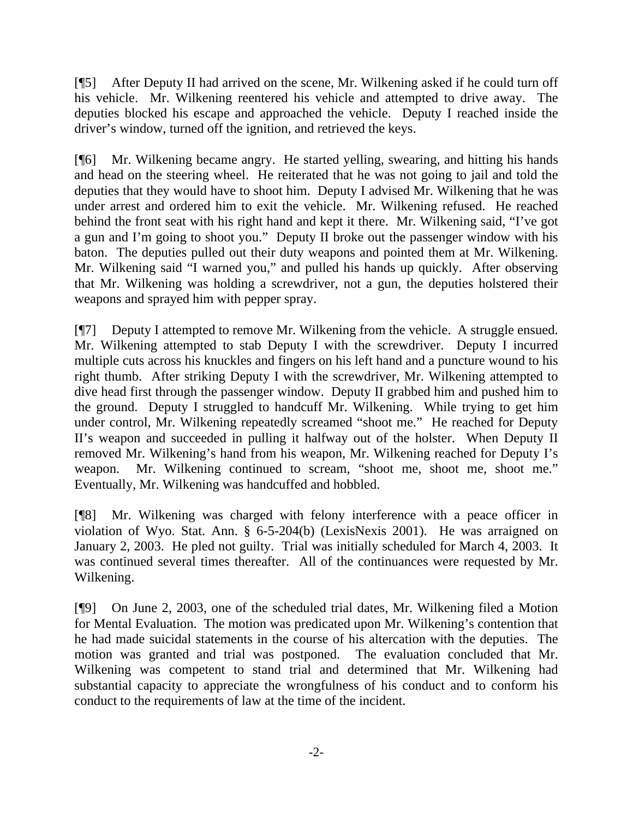[¶5] After Deputy II had arrived on the scene, Mr. Wilkening asked if he could turn off his vehicle. Mr. Wilkening reentered his vehicle and attempted to drive away. The deputies blocked his escape and approached the vehicle. Deputy I reached inside the driver's window, turned off the ignition, and retrieved the keys.

[¶6] Mr. Wilkening became angry. He started yelling, swearing, and hitting his hands and head on the steering wheel. He reiterated that he was not going to jail and told the deputies that they would have to shoot him. Deputy I advised Mr. Wilkening that he was under arrest and ordered him to exit the vehicle. Mr. Wilkening refused. He reached behind the front seat with his right hand and kept it there. Mr. Wilkening said, "I've got a gun and I'm going to shoot you." Deputy II broke out the passenger window with his baton. The deputies pulled out their duty weapons and pointed them at Mr. Wilkening. Mr. Wilkening said "I warned you," and pulled his hands up quickly. After observing that Mr. Wilkening was holding a screwdriver, not a gun, the deputies holstered their weapons and sprayed him with pepper spray.

[¶7] Deputy I attempted to remove Mr. Wilkening from the vehicle. A struggle ensued. Mr. Wilkening attempted to stab Deputy I with the screwdriver. Deputy I incurred multiple cuts across his knuckles and fingers on his left hand and a puncture wound to his right thumb. After striking Deputy I with the screwdriver, Mr. Wilkening attempted to dive head first through the passenger window. Deputy II grabbed him and pushed him to the ground. Deputy I struggled to handcuff Mr. Wilkening. While trying to get him under control, Mr. Wilkening repeatedly screamed "shoot me." He reached for Deputy II's weapon and succeeded in pulling it halfway out of the holster. When Deputy II removed Mr. Wilkening's hand from his weapon, Mr. Wilkening reached for Deputy I's weapon. Mr. Wilkening continued to scream, "shoot me, shoot me, shoot me." Eventually, Mr. Wilkening was handcuffed and hobbled.

[¶8] Mr. Wilkening was charged with felony interference with a peace officer in violation of Wyo. Stat. Ann. § 6-5-204(b) (LexisNexis 2001). He was arraigned on January 2, 2003. He pled not guilty. Trial was initially scheduled for March 4, 2003. It was continued several times thereafter. All of the continuances were requested by Mr. Wilkening.

[¶9] On June 2, 2003, one of the scheduled trial dates, Mr. Wilkening filed a Motion for Mental Evaluation. The motion was predicated upon Mr. Wilkening's contention that he had made suicidal statements in the course of his altercation with the deputies. The motion was granted and trial was postponed. The evaluation concluded that Mr. Wilkening was competent to stand trial and determined that Mr. Wilkening had substantial capacity to appreciate the wrongfulness of his conduct and to conform his conduct to the requirements of law at the time of the incident.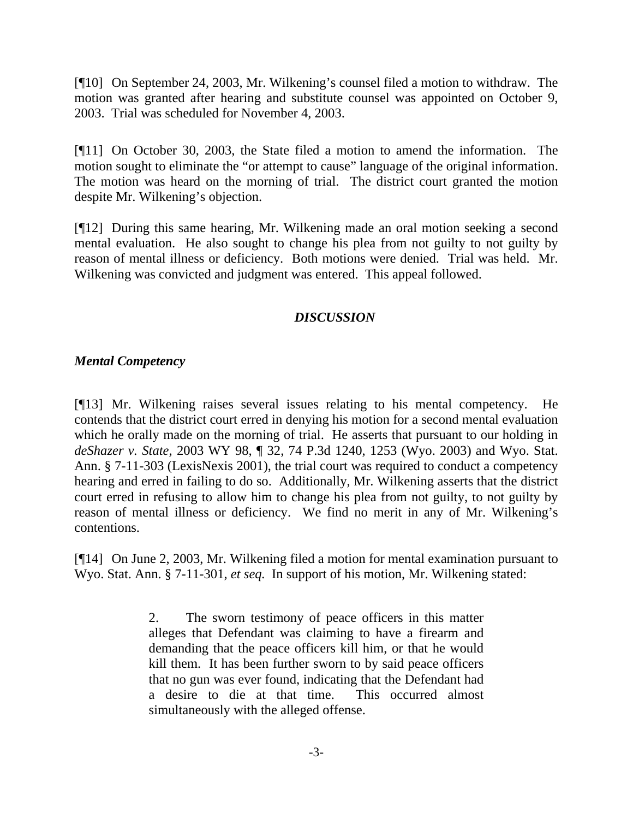[¶10] On September 24, 2003, Mr. Wilkening's counsel filed a motion to withdraw. The motion was granted after hearing and substitute counsel was appointed on October 9, 2003. Trial was scheduled for November 4, 2003.

[¶11] On October 30, 2003, the State filed a motion to amend the information. The motion sought to eliminate the "or attempt to cause" language of the original information. The motion was heard on the morning of trial. The district court granted the motion despite Mr. Wilkening's objection.

[¶12] During this same hearing, Mr. Wilkening made an oral motion seeking a second mental evaluation. He also sought to change his plea from not guilty to not guilty by reason of mental illness or deficiency. Both motions were denied. Trial was held. Mr. Wilkening was convicted and judgment was entered. This appeal followed.

# *DISCUSSION*

### *Mental Competency*

[¶13] Mr. Wilkening raises several issues relating to his mental competency. He contends that the district court erred in denying his motion for a second mental evaluation which he orally made on the morning of trial. He asserts that pursuant to our holding in *deShazer v. State,* 2003 WY 98, ¶ 32, 74 P.3d 1240, 1253 (Wyo. 2003) and Wyo. Stat. Ann. § 7-11-303 (LexisNexis 2001), the trial court was required to conduct a competency hearing and erred in failing to do so. Additionally, Mr. Wilkening asserts that the district court erred in refusing to allow him to change his plea from not guilty, to not guilty by reason of mental illness or deficiency. We find no merit in any of Mr. Wilkening's contentions.

[¶14] On June 2, 2003, Mr. Wilkening filed a motion for mental examination pursuant to Wyo. Stat. Ann. § 7-11-301, *et seq.* In support of his motion, Mr. Wilkening stated:

> 2. The sworn testimony of peace officers in this matter alleges that Defendant was claiming to have a firearm and demanding that the peace officers kill him, or that he would kill them. It has been further sworn to by said peace officers that no gun was ever found, indicating that the Defendant had a desire to die at that time. This occurred almost simultaneously with the alleged offense.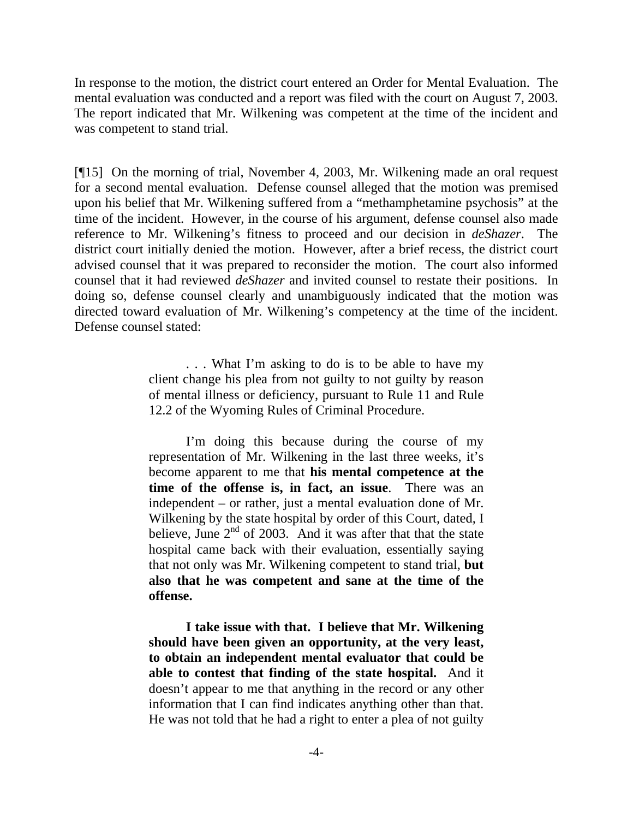In response to the motion, the district court entered an Order for Mental Evaluation. The mental evaluation was conducted and a report was filed with the court on August 7, 2003. The report indicated that Mr. Wilkening was competent at the time of the incident and was competent to stand trial.

[¶15] On the morning of trial, November 4, 2003, Mr. Wilkening made an oral request for a second mental evaluation. Defense counsel alleged that the motion was premised upon his belief that Mr. Wilkening suffered from a "methamphetamine psychosis" at the time of the incident. However, in the course of his argument, defense counsel also made reference to Mr. Wilkening's fitness to proceed and our decision in *deShazer*. The district court initially denied the motion. However, after a brief recess, the district court advised counsel that it was prepared to reconsider the motion. The court also informed counsel that it had reviewed *deShazer* and invited counsel to restate their positions. In doing so, defense counsel clearly and unambiguously indicated that the motion was directed toward evaluation of Mr. Wilkening's competency at the time of the incident. Defense counsel stated:

> . . . What I'm asking to do is to be able to have my client change his plea from not guilty to not guilty by reason of mental illness or deficiency, pursuant to Rule 11 and Rule 12.2 of the Wyoming Rules of Criminal Procedure.

> I'm doing this because during the course of my representation of Mr. Wilkening in the last three weeks, it's become apparent to me that **his mental competence at the time of the offense is, in fact, an issue**. There was an independent – or rather, just a mental evaluation done of Mr. Wilkening by the state hospital by order of this Court, dated, I believe, June  $2<sup>nd</sup>$  of 2003. And it was after that that the state hospital came back with their evaluation, essentially saying that not only was Mr. Wilkening competent to stand trial, **but also that he was competent and sane at the time of the offense.**

> **I take issue with that. I believe that Mr. Wilkening should have been given an opportunity, at the very least, to obtain an independent mental evaluator that could be able to contest that finding of the state hospital.** And it doesn't appear to me that anything in the record or any other information that I can find indicates anything other than that. He was not told that he had a right to enter a plea of not guilty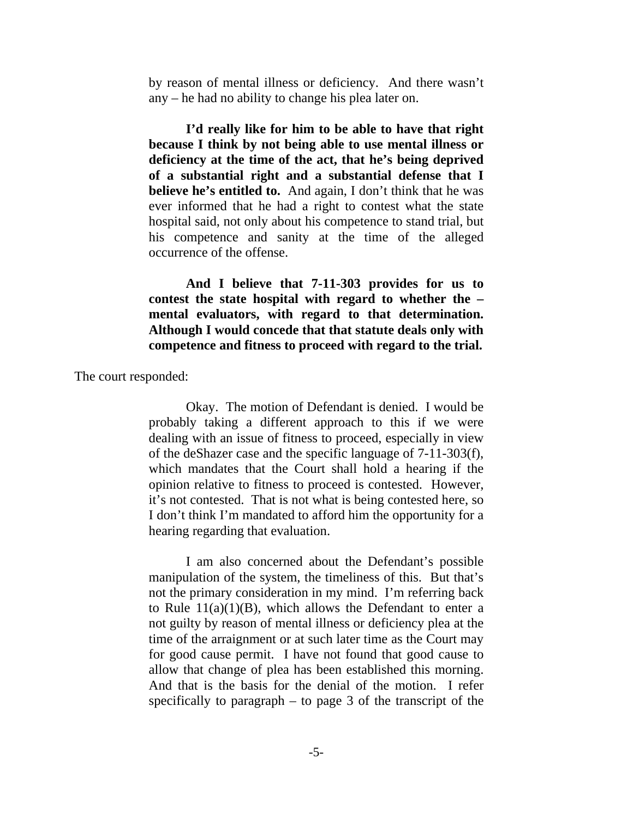by reason of mental illness or deficiency. And there wasn't any – he had no ability to change his plea later on.

**I'd really like for him to be able to have that right because I think by not being able to use mental illness or deficiency at the time of the act, that he's being deprived of a substantial right and a substantial defense that I believe he's entitled to.** And again, I don't think that he was ever informed that he had a right to contest what the state hospital said, not only about his competence to stand trial, but his competence and sanity at the time of the alleged occurrence of the offense.

**And I believe that 7-11-303 provides for us to contest the state hospital with regard to whether the – mental evaluators, with regard to that determination. Although I would concede that that statute deals only with competence and fitness to proceed with regard to the trial.** 

The court responded:

Okay. The motion of Defendant is denied. I would be probably taking a different approach to this if we were dealing with an issue of fitness to proceed, especially in view of the deShazer case and the specific language of 7-11-303(f), which mandates that the Court shall hold a hearing if the opinion relative to fitness to proceed is contested. However, it's not contested. That is not what is being contested here, so I don't think I'm mandated to afford him the opportunity for a hearing regarding that evaluation.

 I am also concerned about the Defendant's possible manipulation of the system, the timeliness of this. But that's not the primary consideration in my mind. I'm referring back to Rule  $11(a)(1)(B)$ , which allows the Defendant to enter a not guilty by reason of mental illness or deficiency plea at the time of the arraignment or at such later time as the Court may for good cause permit. I have not found that good cause to allow that change of plea has been established this morning. And that is the basis for the denial of the motion. I refer specifically to paragraph  $-$  to page 3 of the transcript of the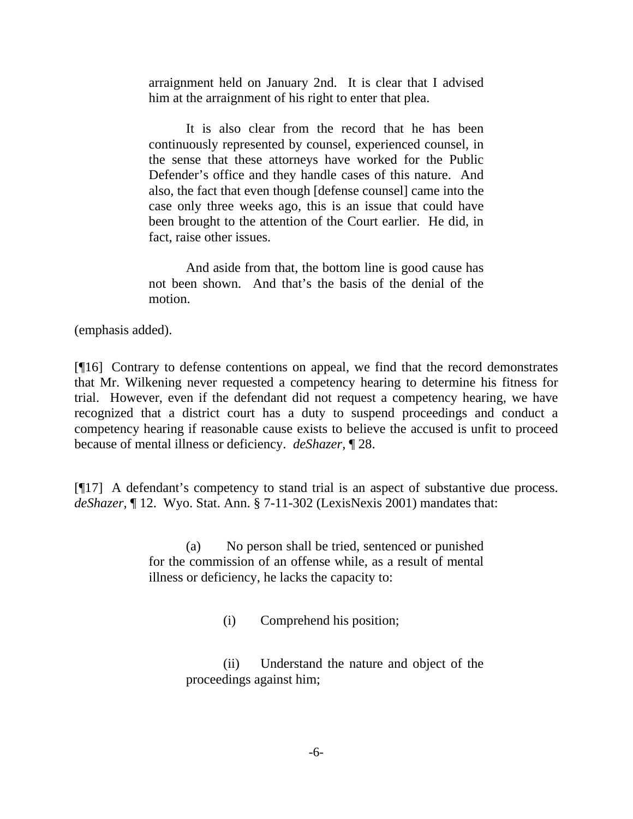arraignment held on January 2nd. It is clear that I advised him at the arraignment of his right to enter that plea.

 It is also clear from the record that he has been continuously represented by counsel, experienced counsel, in the sense that these attorneys have worked for the Public Defender's office and they handle cases of this nature. And also, the fact that even though [defense counsel] came into the case only three weeks ago, this is an issue that could have been brought to the attention of the Court earlier. He did, in fact, raise other issues.

 And aside from that, the bottom line is good cause has not been shown. And that's the basis of the denial of the motion.

(emphasis added).

[¶16] Contrary to defense contentions on appeal, we find that the record demonstrates that Mr. Wilkening never requested a competency hearing to determine his fitness for trial. However, even if the defendant did not request a competency hearing, we have recognized that a district court has a duty to suspend proceedings and conduct a competency hearing if reasonable cause exists to believe the accused is unfit to proceed because of mental illness or deficiency. *deShazer,* ¶ 28.

[¶17] A defendant's competency to stand trial is an aspect of substantive due process. *deShazer*, ¶ 12. Wyo. Stat. Ann. § 7-11-302 (LexisNexis 2001) mandates that:

> (a) No person shall be tried, sentenced or punished for the commission of an offense while, as a result of mental illness or deficiency, he lacks the capacity to:

> > (i) Comprehend his position;

(ii) Understand the nature and object of the proceedings against him;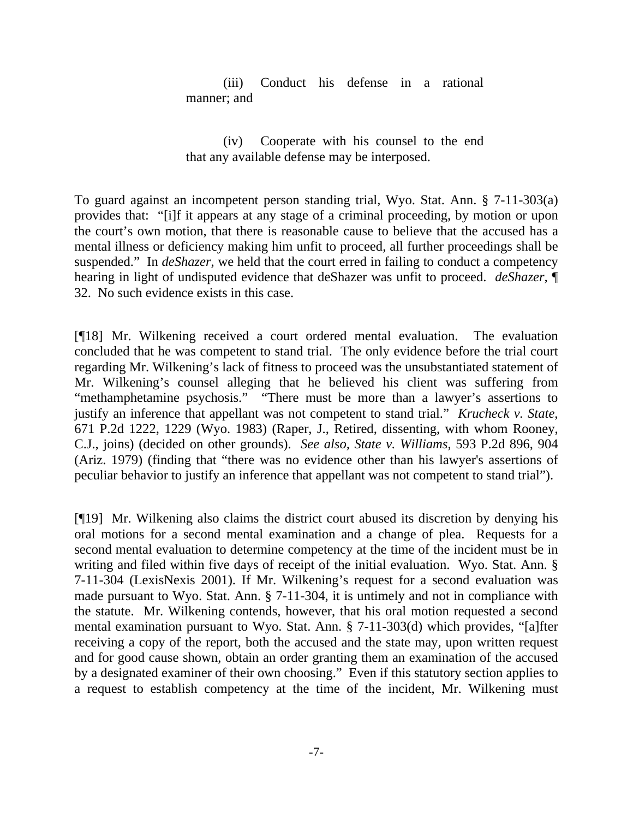(iii) Conduct his defense in a rational manner; and

(iv) Cooperate with his counsel to the end that any available defense may be interposed.

To guard against an incompetent person standing trial, Wyo. Stat. Ann. § 7-11-303(a) provides that: "[i]f it appears at any stage of a criminal proceeding, by motion or upon the court's own motion, that there is reasonable cause to believe that the accused has a mental illness or deficiency making him unfit to proceed, all further proceedings shall be suspended." In *deShazer,* we held that the court erred in failing to conduct a competency hearing in light of undisputed evidence that deShazer was unfit to proceed. *deShazer,* ¶ 32. No such evidence exists in this case.

[¶18] Mr. Wilkening received a court ordered mental evaluation. The evaluation concluded that he was competent to stand trial. The only evidence before the trial court regarding Mr. Wilkening's lack of fitness to proceed was the unsubstantiated statement of Mr. Wilkening's counsel alleging that he believed his client was suffering from "methamphetamine psychosis." "There must be more than a lawyer's assertions to justify an inference that appellant was not competent to stand trial." *Krucheck v. State*, 671 P.2d 1222, 1229 (Wyo. 1983) (Raper, J., Retired, dissenting, with whom Rooney, C.J., joins) (decided on other grounds). *See also, State v. Williams*, 593 P.2d 896, 904 (Ariz. 1979) (finding that "there was no evidence other than his lawyer's assertions of peculiar behavior to justify an inference that appellant was not competent to stand trial").

[¶19] Mr. Wilkening also claims the district court abused its discretion by denying his oral motions for a second mental examination and a change of plea. Requests for a second mental evaluation to determine competency at the time of the incident must be in writing and filed within five days of receipt of the initial evaluation. Wyo. Stat. Ann. § 7-11-304 (LexisNexis 2001). If Mr. Wilkening's request for a second evaluation was made pursuant to Wyo. Stat. Ann. § 7-11-304, it is untimely and not in compliance with the statute. Mr. Wilkening contends, however, that his oral motion requested a second mental examination pursuant to Wyo. Stat. Ann. § 7-11-303(d) which provides, "[a]fter receiving a copy of the report, both the accused and the state may, upon written request and for good cause shown, obtain an order granting them an examination of the accused by a designated examiner of their own choosing." Even if this statutory section applies to a request to establish competency at the time of the incident, Mr. Wilkening must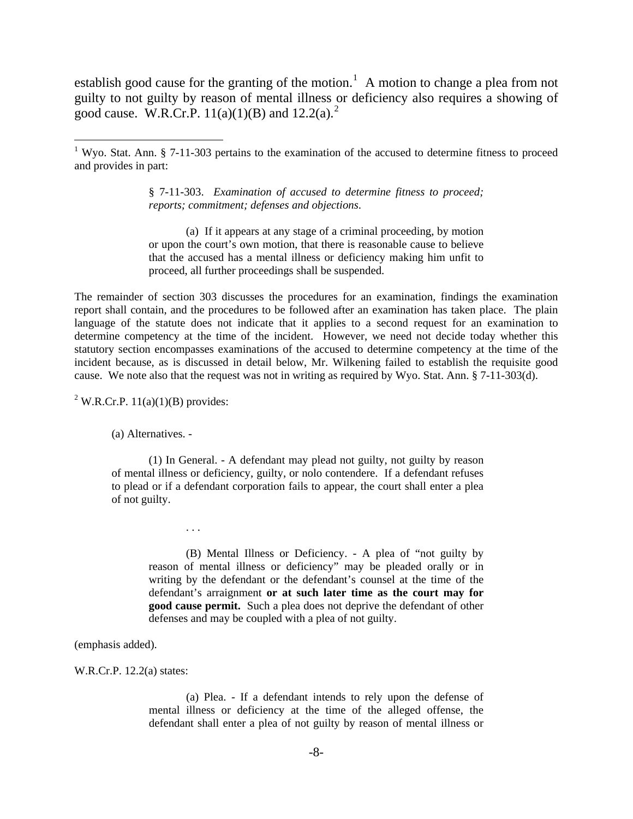establish good cause for the granting of the motion.<sup>[1](#page-8-0)</sup> A motion to change a plea from not guilty to not guilty by reason of mental illness or deficiency also requires a showing of good cause. W.R.Cr.P.  $11(a)(1)(B)$  and  $12.2(a)^2$  $12.2(a)^2$  $12.2(a)^2$ .

§ 7-11-303. *Examination of accused to determine fitness to proceed; reports; commitment; defenses and objections*.

 (a) If it appears at any stage of a criminal proceeding, by motion or upon the court's own motion, that there is reasonable cause to believe that the accused has a mental illness or deficiency making him unfit to proceed, all further proceedings shall be suspended.

The remainder of section 303 discusses the procedures for an examination, findings the examination report shall contain, and the procedures to be followed after an examination has taken place. The plain language of the statute does not indicate that it applies to a second request for an examination to determine competency at the time of the incident. However, we need not decide today whether this statutory section encompasses examinations of the accused to determine competency at the time of the incident because, as is discussed in detail below, Mr. Wilkening failed to establish the requisite good cause. We note also that the request was not in writing as required by Wyo. Stat. Ann. § 7-11-303(d).

<span id="page-8-1"></span><sup>2</sup> W.R.Cr.P.  $11(a)(1)(B)$  provides:

(a) Alternatives. -

. . .

(1) In General. - A defendant may plead not guilty, not guilty by reason of mental illness or deficiency, guilty, or nolo contendere. If a defendant refuses to plead or if a defendant corporation fails to appear, the court shall enter a plea of not guilty.

(B) Mental Illness or Deficiency. - A plea of "not guilty by reason of mental illness or deficiency" may be pleaded orally or in writing by the defendant or the defendant's counsel at the time of the defendant's arraignment **or at such later time as the court may for good cause permit.** Such a plea does not deprive the defendant of other defenses and may be coupled with a plea of not guilty.

(emphasis added).

W.R.Cr.P. 12.2(a) states:

(a) Plea. - If a defendant intends to rely upon the defense of mental illness or deficiency at the time of the alleged offense, the defendant shall enter a plea of not guilty by reason of mental illness or

<span id="page-8-0"></span><sup>&</sup>lt;sup>1</sup> Wyo. Stat. Ann. § 7-11-303 pertains to the examination of the accused to determine fitness to proceed and provides in part: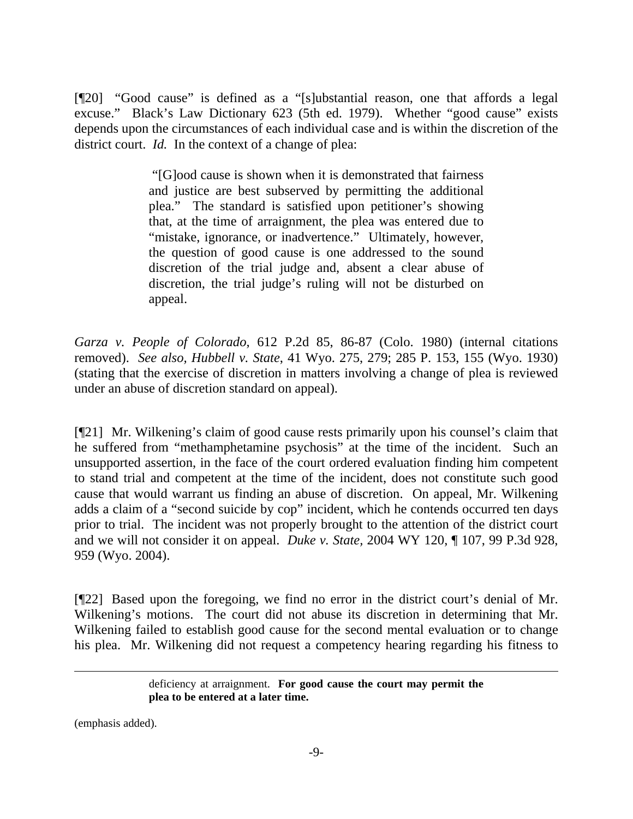[¶20] "Good cause" is defined as a "[s]ubstantial reason, one that affords a legal excuse." Black's Law Dictionary 623 (5th ed. 1979). Whether "good cause" exists depends upon the circumstances of each individual case and is within the discretion of the district court. *Id.* In the context of a change of plea:

> "[G]ood cause is shown when it is demonstrated that fairness and justice are best subserved by permitting the additional plea." The standard is satisfied upon petitioner's showing that, at the time of arraignment, the plea was entered due to "mistake, ignorance, or inadvertence." Ultimately, however, the question of good cause is one addressed to the sound discretion of the trial judge and, absent a clear abuse of discretion, the trial judge's ruling will not be disturbed on appeal.

*Garza v. People of Colorado*, 612 P.2d 85, 86-87 (Colo. 1980) (internal citations removed). *See also, Hubbell v. State*, 41 Wyo. 275, 279; 285 P. 153, 155 (Wyo. 1930) (stating that the exercise of discretion in matters involving a change of plea is reviewed under an abuse of discretion standard on appeal).

[¶21] Mr. Wilkening's claim of good cause rests primarily upon his counsel's claim that he suffered from "methamphetamine psychosis" at the time of the incident. Such an unsupported assertion, in the face of the court ordered evaluation finding him competent to stand trial and competent at the time of the incident, does not constitute such good cause that would warrant us finding an abuse of discretion. On appeal, Mr. Wilkening adds a claim of a "second suicide by cop" incident, which he contends occurred ten days prior to trial. The incident was not properly brought to the attention of the district court and we will not consider it on appeal. *Duke v. State,* 2004 WY 120, ¶ 107, 99 P.3d 928, 959 (Wyo. 2004).

[¶22] Based upon the foregoing, we find no error in the district court's denial of Mr. Wilkening's motions. The court did not abuse its discretion in determining that Mr. Wilkening failed to establish good cause for the second mental evaluation or to change his plea. Mr. Wilkening did not request a competency hearing regarding his fitness to

> deficiency at arraignment. For good cause the court may permit the **plea to be entered at a later time.**

(emphasis added).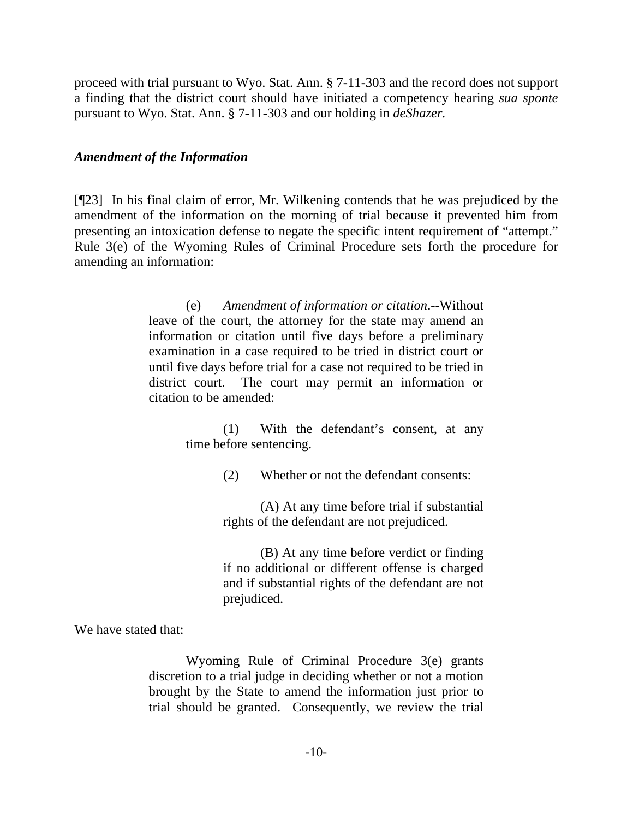proceed with trial pursuant to Wyo. Stat. Ann. § 7-11-303 and the record does not support a finding that the district court should have initiated a competency hearing *sua sponte* pursuant to Wyo. Stat. Ann. § 7-11-303 and our holding in *deShazer.*

#### *Amendment of the Information*

[¶23] In his final claim of error, Mr. Wilkening contends that he was prejudiced by the amendment of the information on the morning of trial because it prevented him from presenting an intoxication defense to negate the specific intent requirement of "attempt." Rule 3(e) of the Wyoming Rules of Criminal Procedure sets forth the procedure for amending an information:

> (e) *Amendment of information or citation*.--Without leave of the court, the attorney for the state may amend an information or citation until five days before a preliminary examination in a case required to be tried in district court or until five days before trial for a case not required to be tried in district court. The court may permit an information or citation to be amended:

> > (1) With the defendant's consent, at any time before sentencing.

> > > (2) Whether or not the defendant consents:

(A) At any time before trial if substantial rights of the defendant are not prejudiced.

(B) At any time before verdict or finding if no additional or different offense is charged and if substantial rights of the defendant are not prejudiced.

We have stated that:

Wyoming Rule of Criminal Procedure 3(e) grants discretion to a trial judge in deciding whether or not a motion brought by the State to amend the information just prior to trial should be granted. Consequently, we review the trial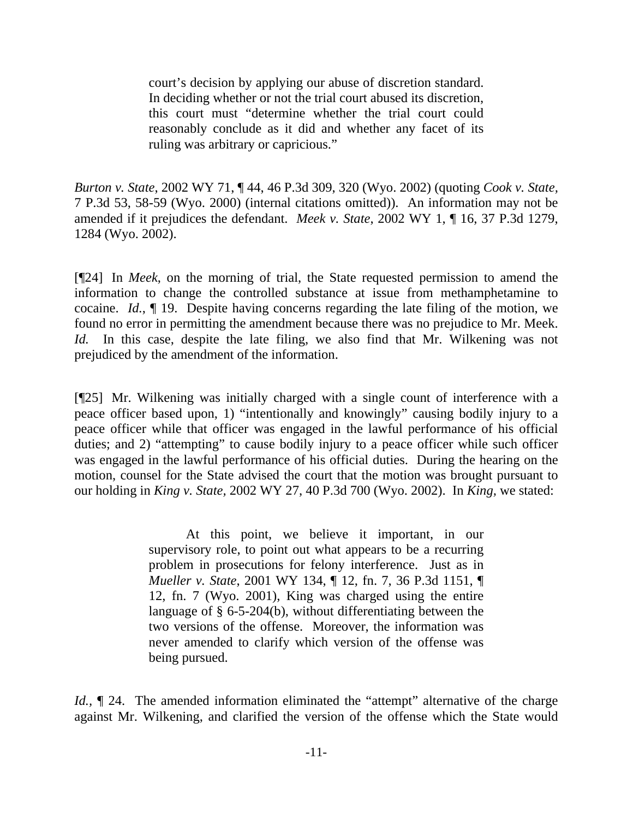court's decision by applying our abuse of discretion standard. In deciding whether or not the trial court abused its discretion, this court must "determine whether the trial court could reasonably conclude as it did and whether any facet of its ruling was arbitrary or capricious."

*Burton v. State*, 2002 WY 71, ¶ 44, 46 P.3d 309, 320 (Wyo. 2002) (quoting *Cook v. State,*  7 P.3d 53, 58-59 (Wyo. 2000) (internal citations omitted)). An information may not be amended if it prejudices the defendant. *Meek v. State*, 2002 WY 1, ¶ 16, 37 P.3d 1279, 1284 (Wyo. 2002).

[¶24] In *Meek*, on the morning of trial, the State requested permission to amend the information to change the controlled substance at issue from methamphetamine to cocaine. *Id.*, ¶ 19. Despite having concerns regarding the late filing of the motion, we found no error in permitting the amendment because there was no prejudice to Mr. Meek. *Id.* In this case, despite the late filing, we also find that Mr. Wilkening was not prejudiced by the amendment of the information.

[¶25] Mr. Wilkening was initially charged with a single count of interference with a peace officer based upon, 1) "intentionally and knowingly" causing bodily injury to a peace officer while that officer was engaged in the lawful performance of his official duties; and 2) "attempting" to cause bodily injury to a peace officer while such officer was engaged in the lawful performance of his official duties. During the hearing on the motion, counsel for the State advised the court that the motion was brought pursuant to our holding in *King v. State,* 2002 WY 27, 40 P.3d 700 (Wyo. 2002). In *King,* we stated:

> At this point, we believe it important, in our supervisory role, to point out what appears to be a recurring problem in prosecutions for felony interference. Just as in *Mueller v. State*, 2001 WY 134, ¶ 12, fn. 7, 36 P.3d 1151, ¶ 12, fn. 7 (Wyo. 2001), King was charged using the entire language of § 6-5-204(b), without differentiating between the two versions of the offense. Moreover, the information was never amended to clarify which version of the offense was being pursued.

*Id.*,  $\mathbb{I}$  24. The amended information eliminated the "attempt" alternative of the charge against Mr. Wilkening, and clarified the version of the offense which the State would